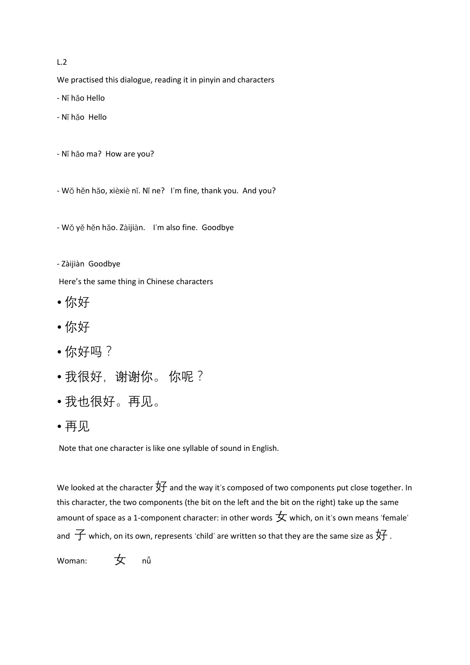## L.2

We practised this dialogue, reading it in pinyin and characters

- Nǐ hǎo Hello

- Nǐ hǎo Hello

- Nǐ hǎo ma? How are you?

- Wǒ hěn hǎo, xièxiè nǐ. Nǐ ne? I'm fine, thank you. And you?

- Wǒ yě hěn hǎo. Zàijiàn. I'm also fine. Goodbye

- Zàijiàn Goodbye

Here's the same thing in Chinese characters

- 你好
- 你好
- 你好吗?
- 我很好, 谢谢你。你呢?
- 我也很好。再见。
- 再见

Note that one character is like one syllable of sound in English.

We looked at the character  $\overline{2}$  and the way it's composed of two components put close together. In this character, the two components (the bit on the left and the bit on the right) take up the same amount of space as a 1-component character: in other words  $\bigstar$  which, on it's own means 'female' and  $\overline{\mathcal{F}}$  which, on its own, represents 'child' are written so that they are the same size as  $\overline{\mathcal{F}}$  .

Woman: 女 nǚ